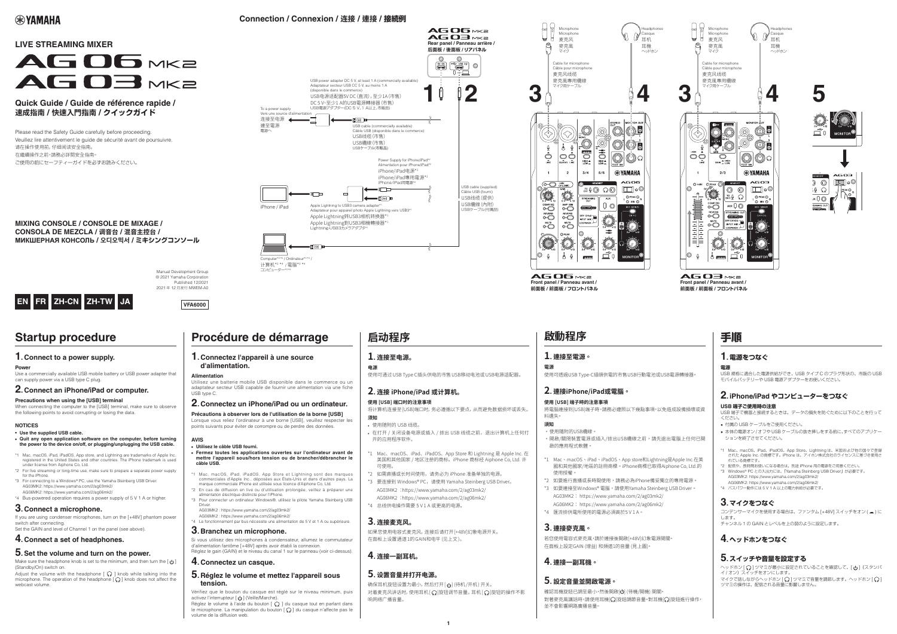# **® YAMAHA**

# **Connection / Connexion / 连接 / 連接 / 接続例**

# **LIVE STREAMING MIXER**



# **Quick Guide / Guide de référence rapide / クイックガイド /** 快速入門指南 **/ 速成指南**

Please read the Safety Guide carefully before proceeding. Veuillez lire attentivement le guide de sécurité avant de poursuivre. 请在操作使用前,仔细阅读安全指南。 在繼續操作之前,請務必詳閱安全指南。 ご使用の前にセーフティーガイドを必ずお読みください。



# **Startup procedure**

## **1. Connect to a power supply.**

**Powe** 

Use a commercially available USB mobile battery or USB power adapter that can supply power via a USB type C plug.

## **2. Connect an iPhone/iPad or computer.**

#### **Precautions when using the [USB] terminal**

When connecting the computer to the [USB] terminal, make sure to observe the following points to avoid corrupting or losing the data.

#### **Alimentation**

Manual Development Group © 2021 Yamaha Corporation Published 12/2021 2021年12月发行 MWEM-A0

> Utilisez une batterie mobile USB disponible dans le commerce ou un adaptateur secteur USB capable de fournir une alimentation via une fiche USB type C.

## **2. Connectez un iPhone/iPad ou un ordinateur.**

Précautions à observer lors de l'utilisation de la borne [USB] Lorsque vous reliez l'ordinateur à une borne [USB], veuillez respecter les points suivants pour éviter de corrompre ou de perdre des données.

#### **AVIS**

- **.** Utilisez le câble USB fourni.
- **Fermez toutes les applications ouvertes sur l'ordinateur avant de** mettre l'appareil sous/hors tension ou de brancher/débrancher le câble USB.
- \*1 Mac, macOS, iPad, iPadOS, App Store et Lightning sont des marques commerciales d'Apple Inc., déposées aux Etats-Unis et dans d'autres pays. La marque commerciale iPhone est utilisée sous licence d'Aiphone Co, Ltd.
- \*2 En cas de diffusion en live ou d'utilisation prolongée, veillez à préparer une alimentation électrique distincte pour l'iPhone. \*3 Pour connecter un ordinateur Windows®, utilisez le pilote Yamaha Steinberg USB
- **Driver**
- AG03MK2: https://www.yamaha.com/2/ag03mk2/ AG06MK2: https://www.yamaha.com/2/aq06mk2/
- \*4 Le fonctionnement par bus nécessite une alimentation de 5 V et 1 A ou supérieure.

# $3.$  Branchez un microphone.

Si vous utilisez des microphones à condensateur, allumez le commutateur d'alimentation fantôme [+48V] après avoir établi la connexion. Réglez le gain (GAIN) et le niveau du canal 1 sur le panneau (voir ci-dessus).

### **4. Connectez un casque.**

### **5.** Réglez le volume et mettez l'appareil sous **.tension**

Vérifiez que le bouton du casque est réglé sur le niveau minimum, puis activez l'interrupteur  $[\psi]$  (Veille/Marche).

Réglez le volume à l'aide du bouton [ $\Omega$ ] du casque tout en parlant dans le microphone. La manipulation du bouton  $[$   $\Omega$ ] du casque n'affecte pas le volume de la diffusion web.

 $AGO3$ MKa **Front panel / Panneau avant / フロントパネル / 前面板 / 前面板**

AG OG MKa **Front panel / Panneau avant / フロントパネル / 前面板 / 前面板**

## **2. iPhone/iPad やコンピューターをつなぐ 端子ご使用時の注意 USB**

USB端子で機器と接続するときは、データの損失を防ぐために以下のことを行って 。ください

- 付属の USB ケーブルをご使用ください。
- 本体の電源オン/オフや USB ケーブルの抜き挿しをする前に、すべてのアプリケー 。ションを終了させてください
- \*1 Mac、macOS、iPad、iPadOS、App Store、Lightning は、米国および他の国々で登録 された Apple Inc. の商標です。iPhone は、アイホン株式会社のライセンスに基づき使用さ れている商標です。
- \*2 配信や、長時間お使いになる場合は、別途 iPhone 用の電源をご用意ください。
- \*3 Windows® PC との入出力には、「Yamaha Steinberg USB Driver」が必要です。 AG03MK2: https://www.yamaha.com/2/ag03mk2/
- AG06MK2: https://www.yamaha.com/2/aq06mk2/
- \*4 バスパワー動作には5V1A以上の電力供給が必要です。

#### **NOTICES**

webcast volume

- Use the supplied USB cable.
- Quit any open application software on the computer, before turning the power to the device on/off, or plugging/unplugging the USB cable.
- \*1 Mac, macOS, iPad, iPadOS, App store, and Lightning are trademarks of Apple Inc. registered in the United States and other countries. The iPhone trademark is used under license from Aiphone Co. Ltd.
- \*2 For live streaming or long-time use, make sure to prepare a separate power supply for the iPhone
- \*3 For connecting to a Windows® PC, use the Yamaha Steinberg USB Driver. AG03MK2: https://www.yamaha.com/2/ag03mk2/ AG06MK2: https://www.yamaha.com/2/ag06mk2/
- \*4 Bus-powered operation requires a power supply of 5 V 1 A or higher.

## **3. Connect a microphone.**

If you are using condenser microphones, turn on the [+48V] phantom power switch after connecting. Set the GAIN and level of Channel 1 on the panel (see above).

# **4. Connect a set of headphones.**

## **5.** Set the volume and turn on the power.

 $\blacksquare$  Make sure the headphone knob is set to the minimum, and then turn the  $\blacksquare$ (Standby/On) switch on. Adjust the volume with the headphone  $[\, \bigcirc \, ]$  knob while talking into the microphone. The operation of the headphone  $[$   $\Omega$   $]$  knob does not affect the

# **Procédure de démarrage**

### **1.** Connectez l'appareil à une source d'alimentation.

將電腦連接到[USB]端子時,請務必遵照以下幾點事項,以免造成設備損壞或資 。料遺失

- 。使用隨附的USB纜線•
- ·開啟/關閉裝置電源或插入/拔出USB纜線之前,請先退出電腦上任何已開 。啟的應用程式軟體
- \*1 Mac、macOS、iPad、iPadOS、App store和Lightning是Apple Inc.在美 國和其他國家/地區的註冊商標。iPhone商標已取得Aiphone Co, Ltd.的 。使用授權
- \*2 如要進行直播或長時間使用,請務必為iPhone備妥獨立的專用電源。 \*3 如要連接至Windows® 電腦,請使用Yamaha Steinberg USB Driver。 AG03MK2: https://www.yamaha.com/2/ag03mk2/
- AG06MK2: https://www.yamaha.com/2/ag06mk2/
- \*4 匯流排供電所使用的電源必須高於5V1A。

### 3. 連接麥克風。

若您使用電容式麥克風,請於連接後開啟[+48V]幻象電源開關。 在面板上設定GAIN (增益) 和頻道1的音量 (見上圖)。

### 4. 連接一副耳機。

### 5. 設定音量並開啟電源。

確認耳機旋鈕已調至最小,然後開啟[U] (待機/開機) 開關。 對著麥克風講話時,請使用耳機[ )旋鈕調節音量。對耳機[ ]旋鈕進行操作, 。並不會影響網路廣播音量

**电源** 使用可通过 USB Type C插头供电的市售 USB移动电池或 USB电源适配器。

# 2. 连接 iPhone/iPad 或计算机。

### 使用 [USB] 端口时的注意事项

将计算机连接至[USB]端口时,务必遵循以下要点,从而避免数据损坏或丢失。 **须知**

- 使用随附的 USB 线缆。
- 在打开 / 关闭设备电源或插入 / 拔出 USB 线缆之前, 退出计算机上任何打 。开的应用程序软件
- \*1 Mac、macOS、iPad、iPadOS、App Store 和 Lightning 是 Apple Inc. 在 美国和其他国家 / 地区注册的商标。iPhone 商标经 Aiphone Co, Ltd. 许 。可使用
- \*2 如需直播或长时间使用,请务必为 iPhone 准备单独的电源。
- \*3 要连接到 Windows® PC, 请使用 Yamaha Steinberg USB Driver。 AG03MK2 :https://www.yamaha.com/2/ag03mk2/ AG06MK2 :https://www.yamaha.com/2/ag06mk2/
- \*4 总线供电操作需要 5V1A 或更高的电源。

确保耳机旋钮设置为最小,然后打开[U] (待机/开机) 开关。 对着麦克风讲话时,使用耳机 [ ) 旋钮调节音量。耳机 [ ) 旋钮的操作不影 。响网络广播音量





**MIXING CONSOLE / CONSOLE DE MIXAGE / CONSOLA DE MEZCLA / 调音台 / 混音主控台 / МИКШЕРНАЯ КОНСОЛЬ / 오디오믹서 / ミキシングコンソール** 





# **手順**

# **電源をつなぐ 1.**

**電源**

USB 規格に適合した電源供給ができ、USB タイプ C のプラグ形状の、市販の USB モバイルバッテリーや USB 電源アダプターをお使いください。

## **マイクをつなぐ 3.**

コンデンサーマイクを使用する場合は、ファンタム [+48V] スイッチをオン (=) に します。

チャンネル1の GAIN とレベルを上の図のように設定します。

# **ヘッドホンをつなぐ 4.**

## **スイッチや音量を設定する 5.**

ヘッドホン [ ( ) ] ツマミが最小に設定されていることを確認して、[ し ] (スタンバ イ / オン) スイッチをオンにします。 マイクで話しながらヘッドホン [(,,)] ツマミで音量を調節します。 ヘッドホン [(,,)] ツマミの操作は、配信される音量に影響しません。

# 啟動程序

### $\mathbf{l}$ . 連接至電源  $\circ$

### 電源

使用可透過USB Type-C插頭供電的市售USB行動電池或USB電源轉接器。

### 2. 連接iPhone/iPad或電腦

#### 使用 [USB] 端子時的注意事項

### 須知

# **启动程序**

# 1. 连接至电源。

# **。连接麦克风 3.**

如果您使用电容式麦克风, 连接后请打开 [+48V]幻象电源开关。 在面板上设置通道1的GAIN和电平 (见上文)。

# 4. 连接一副耳机。

# 5. 设置音量并打开电源。

**1**